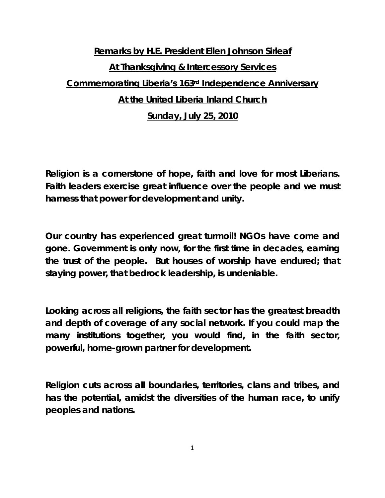## **Remarks by H.E. President Ellen Johnson Sirleaf At Thanksgiving & Intercessory Services Commemorating Liberia's 163rd Independence Anniversary At the United Liberia Inland Church Sunday, July 25, 2010**

**Religion is a cornerstone of hope, faith and love for most Liberians. Faith leaders exercise great influence over the people and we must harness that power for development and unity.** 

**Our country has experienced great turmoil! NGOs have come and gone. Government is only now, for the first time in decades, earning the trust of the people. But houses of worship have endured; that staying power, that bedrock leadership, is undeniable.** 

**Looking across all religions, the faith sector has the greatest breadth and depth of coverage of any social network. If you could map the many institutions together, you would find, in the faith sector, powerful, home-grown partner for development.** 

**Religion cuts across all boundaries, territories, clans and tribes, and has the potential, amidst the diversities of the human race, to unify peoples and nations.** 

1